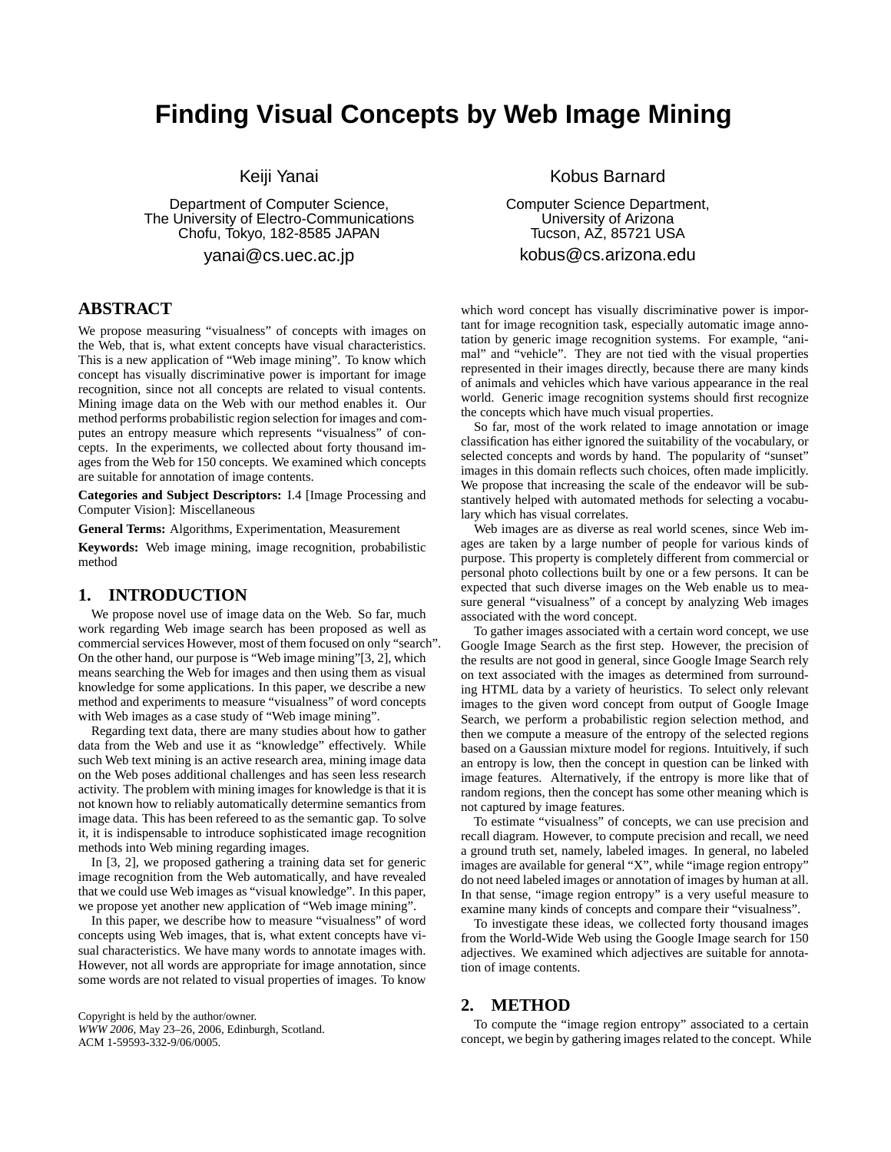# **Finding Visual Concepts by Web Image Mining**

Keiji Yanai

Department of Computer Science, The University of Electro-Communications Chofu, Tokyo, 182-8585 JAPAN

yanai@cs.uec.ac.jp

## **ABSTRACT**

We propose measuring "visualness" of concepts with images on the Web, that is, what extent concepts have visual characteristics. This is a new application of "Web image mining". To know which concept has visually discriminative power is important for image recognition, since not all concepts are related to visual contents. Mining image data on the Web with our method enables it. Our method performs probabilistic region selection for images and computes an entropy measure which represents "visualness" of concepts. In the experiments, we collected about forty thousand images from the Web for 150 concepts. We examined which concepts are suitable for annotation of image contents.

**Categories and Subject Descriptors:** I.4 [Image Processing and Computer Vision]: Miscellaneous

**General Terms:** Algorithms, Experimentation, Measurement

**Keywords:** Web image mining, image recognition, probabilistic method

### **1. INTRODUCTION**

We propose novel use of image data on the Web. So far, much work regarding Web image search has been proposed as well as commercial services However, most of them focused on only "search". On the other hand, our purpose is "Web image mining"[3, 2], which means searching the Web for images and then using them as visual knowledge for some applications. In this paper, we describe a new method and experiments to measure "visualness" of word concepts with Web images as a case study of "Web image mining".

Regarding text data, there are many studies about how to gather data from the Web and use it as "knowledge" effectively. While such Web text mining is an active research area, mining image data on the Web poses additional challenges and has seen less research activity. The problem with mining images for knowledge is that it is not known how to reliably automatically determine semantics from image data. This has been refereed to as the semantic gap. To solve it, it is indispensable to introduce sophisticated image recognition methods into Web mining regarding images.

In [3, 2], we proposed gathering a training data set for generic image recognition from the Web automatically, and have revealed that we could use Web images as "visual knowledge". In this paper, we propose yet another new application of "Web image mining".

In this paper, we describe how to measure "visualness" of word concepts using Web images, that is, what extent concepts have visual characteristics. We have many words to annotate images with. However, not all words are appropriate for image annotation, since some words are not related to visual properties of images. To know

Copyright is held by the author/owner. *WWW 2006,* May 23–26, 2006, Edinburgh, Scotland. ACM 1-59593-332-9/06/0005.

Kobus Barnard

Computer Science Department, University of Arizona Tucson, AZ, 85721 USA kobus@cs.arizona.edu

which word concept has visually discriminative power is important for image recognition task, especially automatic image annotation by generic image recognition systems. For example, "animal" and "vehicle". They are not tied with the visual properties represented in their images directly, because there are many kinds of animals and vehicles which have various appearance in the real world. Generic image recognition systems should first recognize the concepts which have much visual properties.

So far, most of the work related to image annotation or image classification has either ignored the suitability of the vocabulary, or selected concepts and words by hand. The popularity of "sunset" images in this domain reflects such choices, often made implicitly. We propose that increasing the scale of the endeavor will be substantively helped with automated methods for selecting a vocabulary which has visual correlates.

Web images are as diverse as real world scenes, since Web images are taken by a large number of people for various kinds of purpose. This property is completely different from commercial or personal photo collections built by one or a few persons. It can be expected that such diverse images on the Web enable us to measure general "visualness" of a concept by analyzing Web images associated with the word concept.

To gather images associated with a certain word concept, we use Google Image Search as the first step. However, the precision of the results are not good in general, since Google Image Search rely on text associated with the images as determined from surrounding HTML data by a variety of heuristics. To select only relevant images to the given word concept from output of Google Image Search, we perform a probabilistic region selection method, and then we compute a measure of the entropy of the selected regions based on a Gaussian mixture model for regions. Intuitively, if such an entropy is low, then the concept in question can be linked with image features. Alternatively, if the entropy is more like that of random regions, then the concept has some other meaning which is not captured by image features.

To estimate "visualness" of concepts, we can use precision and recall diagram. However, to compute precision and recall, we need a ground truth set, namely, labeled images. In general, no labeled images are available for general "X", while "image region entropy" do not need labeled images or annotation of images by human at all. In that sense, "image region entropy" is a very useful measure to examine many kinds of concepts and compare their "visualness".

To investigate these ideas, we collected forty thousand images from the World-Wide Web using the Google Image search for 150 adjectives. We examined which adjectives are suitable for annotation of image contents.

## **2. METHOD**

To compute the "image region entropy" associated to a certain concept, we begin by gathering images related to the concept. While